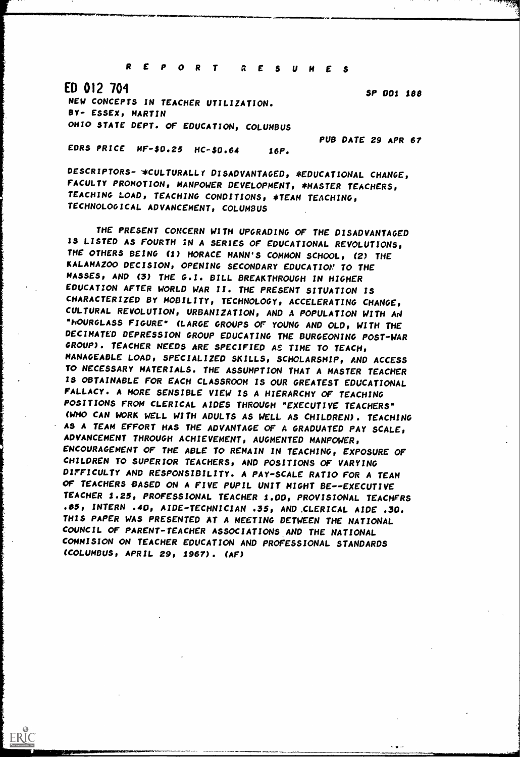REPORT RESUMES

ED 012 704

ERIC

NEW CONCEPTS IN TEACHER UTILIZATION. BY- ESSEX, MARTIN OHIO STATE DEPT. OF EDUCATION, COLUMBUS

EDRS PRICE  $MF-50.25$  HC- $50.64$  16P.

ll.IMMINISTRATIV.IMMINIMENT.IWNMINIM.The APIONIMMINIMENT AND ANNO 1711-1711-1711-1711.

SP 001 188

PUB DATE 29 APR 67

DESCRIPTORS- \*CULTURALLY DISADVANTAGED, \*EDUCATIONAL CHANGE, FACULTY PROMOTION, MANPOWER DEVELOPMENT, \*MASTER TEACHERS, TEACHING LOAD, TEACHING CONDITIONS, \*TEAM TEACHING, TECHNOLOGICAL ADVANCEMENT, COLUMBUS

THE PRESENT CONCERN WITH UPGRADING OF THE DISADVANTAGED IS LISTED AS FOURTH iN A SERIES OF EDUCATIONAL REVOLUTIONS, THE OTHERS BEING (1) HORACE MANN'S COMMON SCHOOL, (2) THE KALAMAZOO DECISION, OPENING SECONDARY EDUCATION' TO THE MASSES, AND (3) THE G.I. BILL BREAKTHROUGH IN HIGHER EDUCATION AFTER WORLD WAR II. THE PRESENT SITUATION IS CHARACTERIZED BY MOBILITY, TECHNOLOGY, ACCELERATING CHANGE, CULTURAL REVOLUTION, URBANIZATION, AND A POPULATION WITH Aa °hOURGLASS FIGURE" (LARGE GROUPS OF YOUNG AND OLD, WITH THE DECIMATED DEPRESSION GROUP EDUCATING THE BURGEONING POST-WAR GROUP). TEACHER NEEDS ARE SPECIFIED AE TIME TO TEACH, MANAGEABLE LOAD, SPECIALIZED SKILLS, SCHOLARSHIP, AND ACCESS TO NECESSARY MATERIALS. THE ASSUMPTION THAT A MASTER TEACHER IS OBTAINABLE FOR EACH CLASSROOM IS OUR GREATEST EDUCATIONAL FALLACY. A MORE SENSIBLE VIEW IS A HIERARCHY OF TEACHING POSITIONS FROM CLERICAL AIDES THROUGH "EXECUTIVE TEACHERS" (WHO CAN WORK WELL WITH ADULTS AS WELL AS CHILDREN). TEACHING AS A TEAM EFFORT HAS THE ADVANTAGE OF A GRADUATED PAY SCALE, ADVANCEMENT THROUGH ACHIEVEMENT, AUGMENTED MANPOWER, ENCOURAGEMENT OF THE ABLE TO REMAIN IN TEACHING, EXPOSURE OF CHILDREN TO SUPERIOR TEACHERS, AND POSITIONS OF VARYING DIFFICULTY AND RESPONSIBILITY. A PAY -SCALE RATIO FOR A TEAM OF TEACHERS BASED ON A FIVE PUPIL UNIT MIGHT BE--EXECUTIVE TEACHER 1.23, PROFESSIONAL TEACHER 1.00, PROVISIONAL TEACHERS .05, INTERN .40, AIDE- TECHNICIAN .35, AND .CLERICAL AIDE .30. THIS PAPER WAS PRESENTED AT A MEETING BETWEEN THE NATIONAL COUNCIL OF PARENT- TEACHER ASSOCIATIONS AND THE NATIONAL COMMISION ON TEACHER EDUCATION AND PROFESSIONAL STANDARDS (COLUMBUS, APRIL 29, 1967). (AF)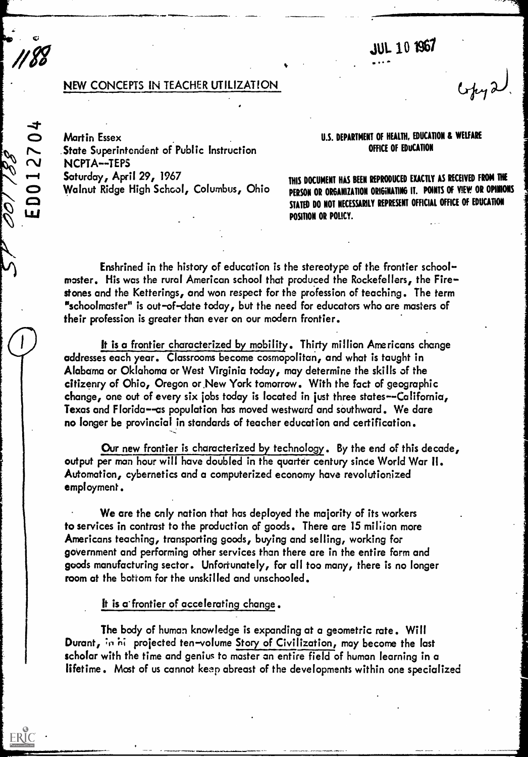**JUL 10 1967** 

## NEW CONCEPTS IN TEACHER UTILIZATION

...............r.....,,pisom...... ............

Martin Essex .State Superintendent of Public Instruction NCPTA--TEPS Saturday, April 29, 1967 Walnut Ridge High School, Columbus, Ohio

0012704

**Lui** 

ERIC

00

## U.S. DEPARTMENT Of HEALTH, EDUCATION & WELFARE OFFICE Of EDUCATION

THIS DOCUMENT HAS BEEN REPRODUCED EXACTLY AS RECEIVED FROM THE PERSON OR ORGANIZATION ORIGINATING IT. POINTS OF VIEW OR OPINIONS STATED DO NOT NECESSARILY REPRESENT OFFICIAL OFFICE Of EDUCATION POSITION OR POLICY.

Enshrined in the history of education is the stereotype of the frontier schoolmaster. His was the rural American school that produced the Rockefellers, the Firestones and the Ketterings, and won respect for the profession of teaching. The term "schoolmaster" is out-of-date today, but the need for educators who are masters of their profession is greater than ever on our modern frontier.

**v** video

It is a frontier characterized by mobility. Thirty million Americans change addresses each year. Classrooms become cosmopolitan, and what is taught in Alabama or Oklahoma or West Virginia today, may determine the skills of the citizenry of Ohio, Oregon or.New York tomorrow. With the fact of geographic change, one out of every six jobs today is located in just three states--California, Texas and Florida--as population has moved westward and southward. We dare no longer be provincial in standards of teacher education and certification.

Our new frontier is characterized by technology. By the end of this decade, output per man hour will have doubled in the quarter century since World War II. Automation, cybernetics and a computerized economy have revolutionized employment.

We are the only nation that has deployed the majority of its workers to services in contrast to the production of goods. There are 15 million more Americans teaching, transporting goods, buying and selling, working for government and performing other services than there are in the entire form and goods manufacturing sector. Unfortunately, for all too many, there is no longer room at the bottom for the unskilled and unschooled.

It is a frontier of accelerating change.

The body of human knowledge is expanding at a geometric rate. Will Durant, in hit projected ten-volume Story of Civilization, may become the last scholar with the time and genius to master an entire field of human learning in a lifetime. Most of us cannot keep abreast of the developments within one specialized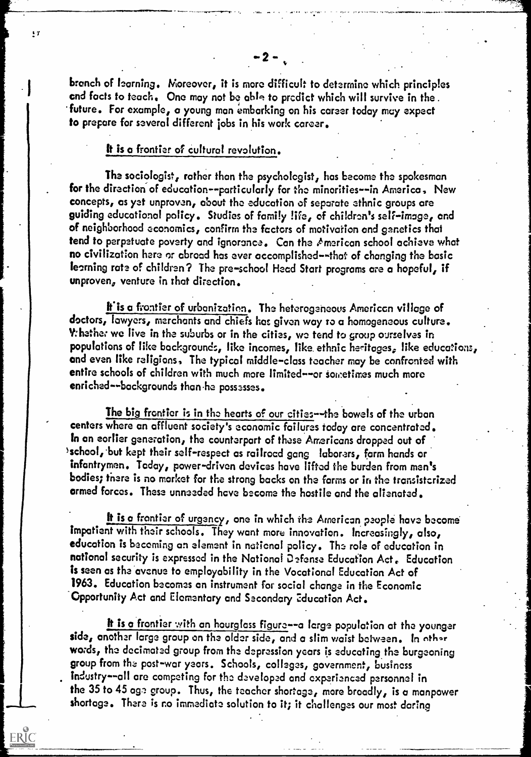branch of learning. Moreover, it is more difficult to determine which principles end facts to teach. One may not be able to predict which will survive in the . future. For example, a young man embarking on his career today may expect to prepare for several different jobs in his work career.

## It is a frontier of cultural revolution.

..............00rsvrIm" . -LG.- o.

 $\blacksquare$ 

ERIC

 $\cdot$ 

The sociologist, rather than the psychologist, has become the spokesman for the direction of education--particularly for the minorities--in America, New concepts, as yet unproven, about the education of separate ethnic groups ore guiding educational policy. Studies of family life., of children's self-image, and of neighborhood economics, confirm the factors of motivation and genetics that tend to perpetuate poverty and ignorance. Can the American school achieve what no civilization here or abroad has ever accomplished--that of changing the basic teaming rate of children? The pre-school Head Start programs are a hopeful, if unproven, venture in that direction.

If is a frontier of urbanization. The heterogeneous American village of doctors, lawyers, merchants and chiefs has given way to a homogeneous culture. V: hether we live in the suburbs or in the cities, we tend to group ourselves in populations of like backgrounds, like incomes, like ethnic heritages, like educations, and even like religions, The typical middle-class teacher may be confronted with entire schools of children with much more limited--or sometimes much more enriched--backgrounds than he possesses.

The big frontier is in the hearts of our cities---the bowels of the urban centers where an affluent society's economic failures today are concentrated. In an eorlier generation, the counterpart of these Americans dropped out of >school, but kept their self-respect as railroad gang laborers, farm hands or infantrymen. Today, power-driven devices have lifted the burden from men's bodies; there is no market for the strong backs on the farms or in the transistorized armed forces. These unneeded have become the hostile and the alienated.

It is a frontier of urgency, one in which the American people have become impatient with their schools. They want more innovation. Increasingly, also, education is becoming an element in notional policy. The role of education in national security is expressed in the National Defense Education Act. Education is seen as the avenue to employability in the Vocational Education Act of 1963. Education becomes an instrument for social change in the Economic Opportunity Act and Elementary and Secondary education Act.

words, the decimated group from the depression years is educating the burgeoning group from the post-war years. Schools, colleges, government, business It is a frontier with an hourglass figure--a large population at the younger side, another large group on the older side, and a slim waist between. In other industry--all are competing for the developed and experienced personnel in the 35 to 45 age group. Thus, the teacher shortage, more broadly, is a manpower shortage. There is no immediate solution to it; it challenges our most daring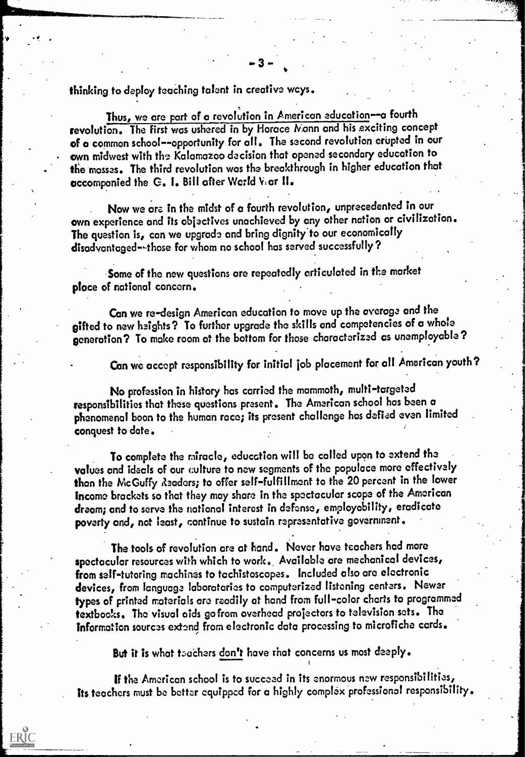thinking to deploy teaching talent in creative wcys.

Thus, we are part of a revolution in American education-a fourth revolution. The first was ushered in by Horace Nann and his exciting concept of a common school--opportunity for all. The second revolution erupted in our own midwest with the Kalamazoo decision that opened secondary education to the mosses. The third revolution was the breakthrough in higher education that accompanied the G. 1. Bill after World V:ar 11.

Now we are in the midst of a fourth revolution, unprecedented in our awn experience and its objectives unachieved by any other nation or civilization. The question is, can we upgrade and bring dignity to our economically disadvantaged--those for whom no school has served successfully?

Some of the new questions are repeatedly articulated in the market place of national concern.

Can we re-design American education to move up the average and the sifted to new heights? To further upgrade the skills and competencies of a whole generation? To make room at the bottom for those characterized as unemployable?

Can we accept responsibility for initial job placement for all American youth?

No profession in history has carried the mammoth, multi-targeted responsibilities that these questions present. The American school has been a phenomenal boon to the human race; its present challenge has defied even limited conquest to date.

To complete the miracle, education will be called upon to extend the values and ideals of our culture to now segments of the populace more effectively than the McGuffy Readers; to offer self-fulfillment to the 20 percent in the lower Income brackets so that they may shore in the spectacular scope of the American dream; and to serve the notional interest in defense, employability, eradicate poverty and, not least, continue to sustain representative government.

The tools of revolution ore at hand. Never have teachers had more spectacular resources with which to work.. Available are mechanical devices, from self-tutoring machines to tachistoscopes. Included also are electronic devices, from language laboratories to computerized listening centers. Newer types of printed materials are readily at hand from full-color charts to programmed textbooks. The visual aids go from overhead projectors to television sets. The information sources extend from electronic data processing to microfiche cords.

But it is what teachers don't have that concerns us most deeply.

ERIC

If the American school is to succeed in its enormous new responsibilities, its teachers must be better equipped for a highly complex professional responsibility.

t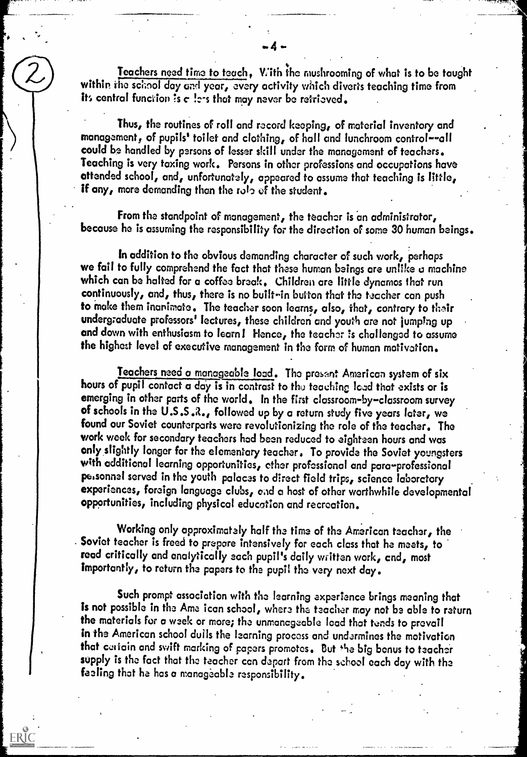Teachers need time to teach, With ;he mushrooming of what is to be taught within the school day and year, every activity which diverts teaching time from its central function is  $c$  !ers that may never be retrieved.

Thus, the routines of roll and record keeping, of material inventory and management, of pupils' toilet and clothing, of hall and lunchroom control--all could be handled by persons of lesser skill under the management of teachers. Teaching is very taxing work. Persons in other professions and occupations have attended school, and, unfortunately, appeared to assume that teaching is little, if any, more demanding than the role of the student.

From the standpoint of management, the teacher is an administrator, because he is assuming the responsibility for the direction of some 30 human beings.

In addition to the obvious demanding character of such work, perhaps we fail to fully comprehend the fact that these human beings are unlike u machine which can be halted for a coffee break. Children are little dynamos that run continuously, and, thus, there is no built-in button that the teacher can push to make them inanimate. The teacher soon learns, also, that, contrary to their undergraduate professors' lectures, these children and youth are not jumping up and down with enthusiasm to learn I Hence, the teacher is challenged to assume the highest level of executive management in the form of human motivation.

Teachers need a manageable load. The present American system of six hours of pupil contact a day is in contrast to the teaching lead that exists or is emerging in other parts of the world. In the first classroom-by-classroom survey of schools in the U.S.S.R., followed up by a return study five years later, we found our Soviet counterparts were revolutionizing the role of the teacher. The work week for secondary teachers had been reduced to eighteen hours and was anly.slightly longer for the elementary teacher, To provide the Soviet youngsters with additional learning opportunities, ether professional and para-professional personnel served in the youth palaces to direct field trips, science laboratory experiences, foreign language clubs, and a host of other worthwhile developmental opportunities, including physical education and recreation.

Working only approximately half the time of the American teacher, the Soviet teacher is freed to prepare intensively for each class that he meets, to read critically and analytically each pupil's daily written work, cnd, most importantly, to return the papers to the pupil the very next day.

Such prompt association with the learning experience brings meaning that is not possible in the Ame ican school, where the teacher may not be able to return the materials for a week or more; the unmanageable load that tends to prevail in the American school dulls the learning process and undermines the motivation that certain and swift marking of papers promotes. But the big bonus to teacher supply is the fact that the teacher can depart from the school each day with the feeling that ha has a manageable responsibility.

 $\bullet$   $\bullet$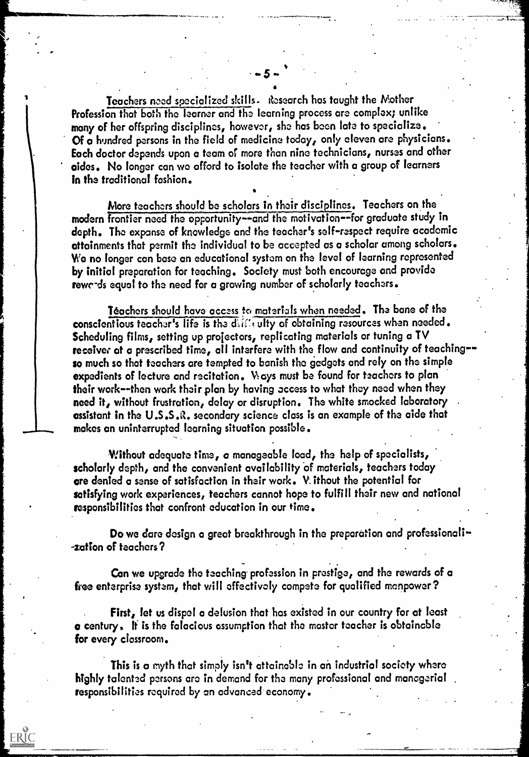Teachers need specialized skills. Research has taught the Mother Profession that both the learner and the learning process are complex; unlike many of her offspring disciplines, however, she has been late to specialize. Of a hundred persons in the field of medicine today, only eleven are physicians. Each doctor depends upon a team of more than nine technicians, nurses and other aides. No longer can we afford to isolate the teacher with a group of learners in the traditional fashion. .

version and the second series of the series of the series of the series of the series of the series of the series of the series of the series of the series of the series of the series of the series of the series of the ser

 $-5 - 7$ 

II

More teachers should be scholars in their disciplines. Teachers on the modern frontier need the opportunity--and the motivation--for graduate study in depth. The expanse of knowledge and the teacher's self-respect require academic attainments that permit the individual to be accepted as a scholar among scholars. We no longer can base an educational system on the level of learning represented by initial preparation for teaching. Society must both encourage and provide rewc-ds equal to the need for a growing number of scholarly teachers.

Teachers should have access to materials when needed. The bane of the conscientious teacher's life is the differently of obtaining resources when needed. Scheduling films, setting up projectors, replicating materials or tuning a TV receiver at a prescribed time, all interfere with the flow and continuity of teaching-so much so that teachers are tempted to banish the gadgets and rely on the simple expedients of lecture and recitation. Ways must be found for teachers to plan their work--then work their plan by having access to what they need when they need it, without frustration, delay or disruption. The white smocked laboratory assistant in the U.S.S.R. secondary science class is an example of the aide that makes an uninterrupted learning situation possible.

Without adequate time, a manageable load, the help of specialists, scholarly depth, and the convenient availability of materials, teachers today are denied a sense of satisfaction in their work. V. ithout the potential for satisfying work experiences, teachers cannot hope to fulfill their new and national responsibilities that confront education in our time.

Do we dare design a great breakthrough in the preparation and professionali--zation of teachers?

Can we upgrade the teaching profession in prestige, and the rewards of a free enterprise system, that will effectively compete for qualified manpower?

First, let us dispel a delusion that has existed in our country for at least a century. It is the falacious assumption that the master teacher is obtainable for every classroom.

This is a myth that simply isn't attainable in an industrial society where highly talented persons arc in demand for the many professional and managerial responsibilities required by an advanced economy.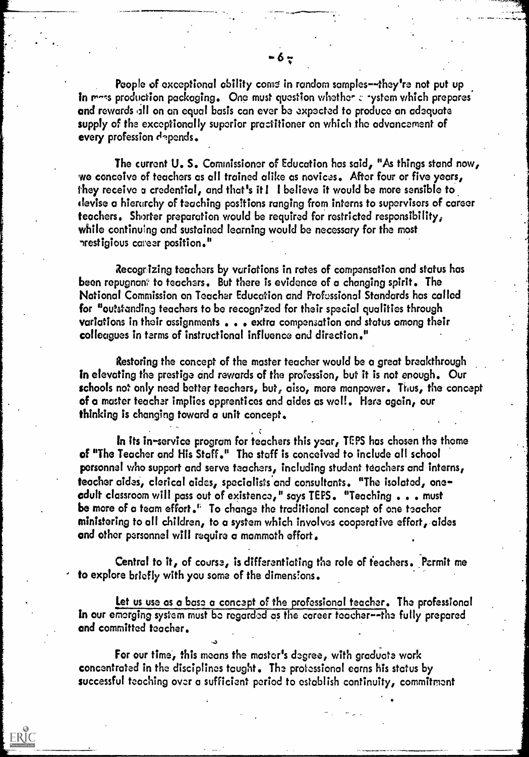People of exceptional ability come in random samples--they're not put up in  $r$ -s production packaging. One must question whether  $r$  -ystem which prepares and rewards all on an equal basis can ever be expected to produce an adequate supply of the exceptionally superior practitioner on which the advancement of every profession depends.

 $-67$ 

The current U. S. Commissioner of Education has said, "As things stand now, we conceive of teachers as all trained alike as novices. After four or five years, they receive a credential, and that's it 1 I believe it would be more sensible to devise a hierarchy of teaching positions ranging from interns to supervisors of career teachers. Shorter preparation would be required for restricted responsibility, while continuing and sustained learning would be necessary for the most erestigious career position."

Recogrizing teachers by variations in rates of compensation and status has been repugnant to teachers. But there is evidence of a changing spirit. The National Commission on Teacher Education and Professional Standards has called for "outstanding teachers to be recognized for their special qualities through variations in their assignments . . . extra compensation and status among their colleagues in terms of instructional influence and direction."

Restoring the concept of the master teacher would be a great breakthrough in elevating the prestige and rewards of the profession, but it is not enough. Our schools not only need better teachers, but, also, more manpower. Thus, the concept of a master teacher implies apprentices and aides as well. Here again, our thinking is changing toward a unit concept.

.  $\mathcal{S}$  and  $\mathcal{S}$ In its in-service program for teachers this year, TEPS has chosen the theme  $\qquad \qquad \blacksquare$ of "The Teacher and His Staff." The staff is conceived to include all school personnel who support and serve teachers, including student teachers and interns, teacher aides, clerical aides, specialists and consultants. "The isolated, oneadult classroom will pass out of existence," says TEPS. "Teaching . . . must be more of a team effort." To change the traditional concept of one teacher ministering to all children, to a system which involves cooperative effort, aides and other personnel will require a mammoth effort.

Central to it, of course, is differentiating the role of teachers. Permit me to explore briefly with you some of the dimensions.

Let us use as a base a concept of the professional teacher. The professional In our emerging system must be regarded as the career teacher--the fully prepared and committed teacher.

For our time, this moons the master's degree, with graduate work concentrated in the disciplines taught. The professional earns his status by successful teaching over a sufficient period to establish continuity, commitment

 $\cdot$ .  $\cdot$  .  $\cdot$  .  $\cdot$  .  $\cdot$  .  $\cdot$  .  $\cdot$  .  $\cdot$  .  $\cdot$  .  $\cdot$  .  $\cdot$  .  $\cdot$  .  $\cdot$  .  $\cdot$  .  $\cdot$  .  $\cdot$  .  $\cdot$  .  $\cdot$  .  $\cdot$  .  $\cdot$  .  $\cdot$  .  $\cdot$  .  $\cdot$  .  $\cdot$  .  $\cdot$  .  $\cdot$  .  $\cdot$  .  $\cdot$  .  $\cdot$  .  $\cdot$  .  $\cdot$  .  $\cdot$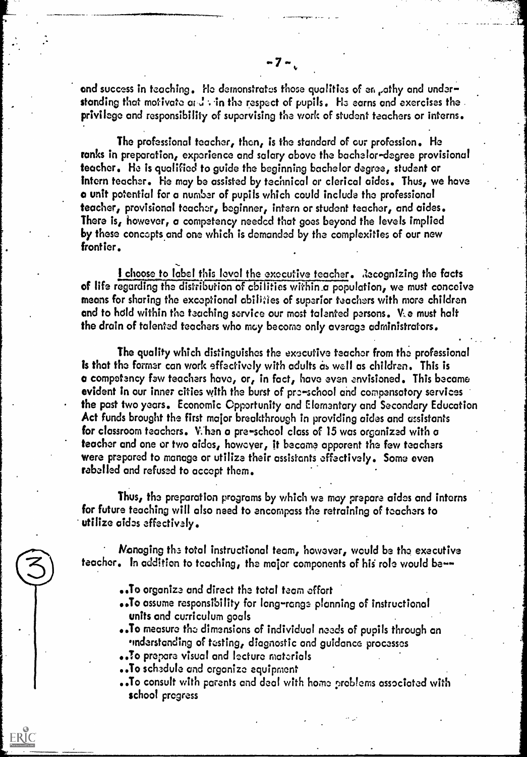and success in teaching. He demonstrates those qualities of en pathy and understanding that motivate and  $\cdot$  in the respect of pupils. He earns and exercises the privilege and responsibility of supervising the work of student teachers or interns.

The professional teacher, then, is the standard of our profession. He ranks in preparation, experience and salary above the bachelor-degree provisional teacher. He is qualified to guide the beginning bachelor degree, student or intern teacher. He may be assisted by technical or clerical aides. Thus, we have a unit potential for a number of pupils which could include the professional teacher, provisional teacher, beginner, intern or student teacher, and aides. There is, however, a competency needed that goes beyond the levels implied by these concepts and one which is demanded by the complexities of our new frontier.

I choose to label this level the executive teacher. Recognizing the facts of life regarding the distribution of abilities within\_a population, we must conceive means for sharing the exceptional abilities of superior teachers with more children and to hold within the teaching service our most talented persons. V.e must halt the drain of talented teachers who may become only average administrators.

The quality which distinguishes the executive teacher from the professional is that the former can work effectively with adults as well as children. This is a competency few teachers have, or, in fact, have even envisioned. This became evident in our inner cities with the burst of pre-school and compensatory services the past two years. Economic Opportunity and Elementary and Secondary Education Act funds brought the first major breakthrough in providing aides and assistants for classroom teachers. Vihen a pre-school class of 15 was organized with a teacher and one or two aides, however, it become apparent the few teachers were prepared to manage or utilize their assistants effectively. Some even rebelled and refused to accept them.

Thus, the preparation programs by which we may prepare aides and interns for future teaching will also need to encompass the retraining of teachers to utilize aides effectively.

Managing the total instructional team, however, would be the executive teacher. In addition to teaching, the major components of his role would be--

- ..To organize and direct the total team effort
- ..To assume responsibility for long-range planning of instructional units and curriculum goals . .
- ..To measure the dimensions of individual needs of pupils through an indarstonding of testing, diagnostic and guidance processes
- ..To prepare visual and lecture materials
- ..To schedule and organize equipment

ERIC

..To consult with parents and deal with home problems associated with school progress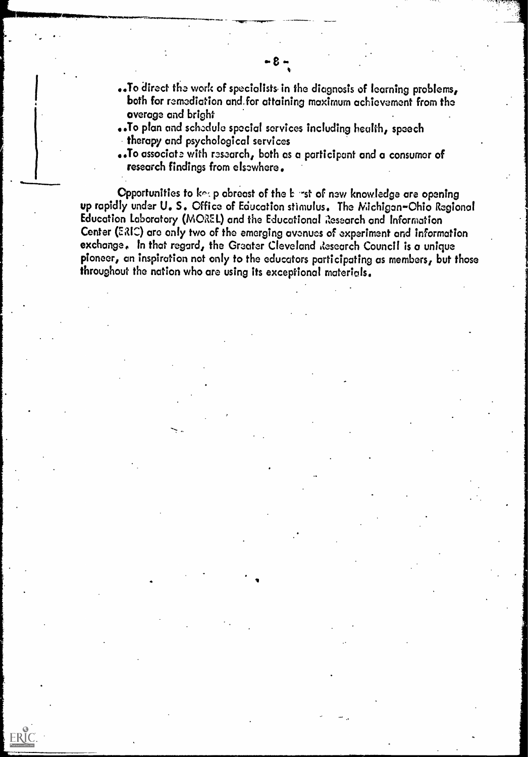- .. To direct the work of specialists in the diagnosis of learning problems, both for remediation and.for attaining maximum achievement from the overage and bright
- .. To plan and schedule special services including health, speech therapy and psychological services
- .. To associate with research, both as a participant and a consumer of research findings from elsewhere.

Opportunities to keep abreast of the E rst of new knowledge are opening up rapidly under U. S. Office of Education stimulus. The Michigan-Ohio Regional Education Laboratory (MOREL) and the Educational Research and Information Center (ERIC) are only two of the emerging avenues of experiment and information exchange. In that regard, the Greater Cleveland Research Council is a unique pioneer, an inspiration not only to the educators participating as members, but those throughout the nation who are using its exceptional materials.

 $ERIC$ 

 $-8 -$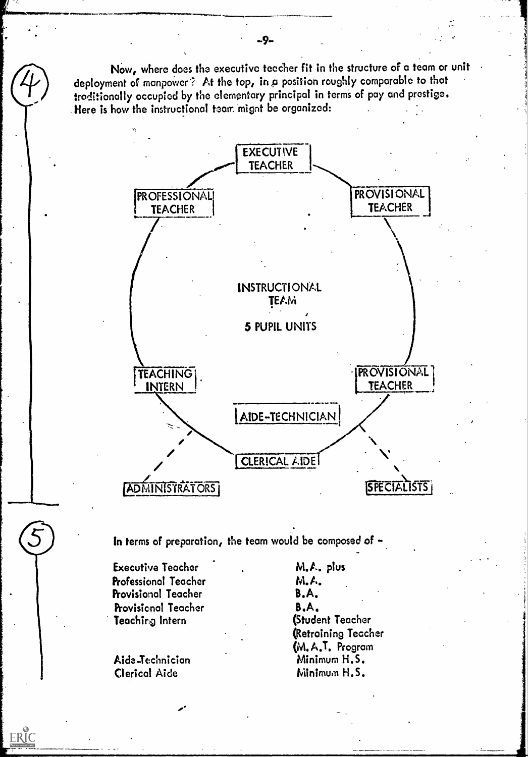Now, where does the executive teacher fit in the structure of a team or unit deployment of manpower? At the top, in a position roughly comparable to that traditionally occupied by the elementary principal in terms of pay and prestige. Here is how the instructional team mignt be organized:



In terms of preparation, the team would be composed of -

Executive Teocher Professional Teacher Provisional Teacher Provisional Teacher Teaching Intern

Aide-Technician Clerical Aide

ERIC

 $\mathscr{L}$ 

M.A. plus M.A. B.A. B.A. (Student Teacher (Retraining Teacher M. A.T. Program Minimum H.S. Minimum H.S.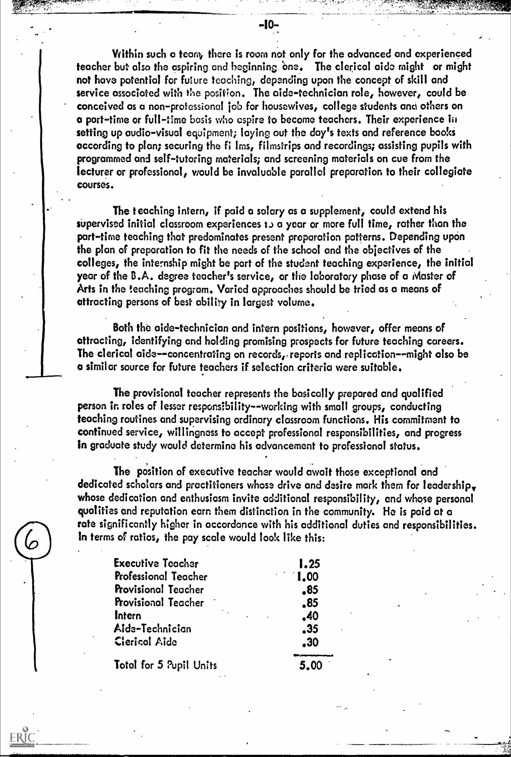$-10-$ 

erford and the second state of the second control of the second control of the second control of the second control of the second second second second second second second second second second second second second second s

Within such a team, there is room not only for the advanced and experienced teacher but also the aspiring and beginning 'one. The clerical aide might or might not have potential for future teaching, depending upon the concept of skill and service associated with the position. The aide-technician role, however, could be conceived as a non-professional job for housewives, college students and others on a part-time or full-time basis who aspire to become teachers. Their experience in setting up audio-visual equipment; laying out the day's texts and reference books according to plan; securing the fi Ims, filmstrips and recordings; assisting pupils with programmed and self-tutoring materials; and screening materials on cue from the lecturer or professional, would be invaluable parallel preparation to their collegiate courses.

The teaching intern, if paid a salary as a supplement, could extend his supervised initial classroom experiences to a year or more full time, rather than the part-time teaching that predominates present preparation patterns. Depending upon the plan of preparation to fit the needs of the school and the objectives of the colleges, the internship might be part of the student teaching experience, the initial year of the B.A. degree teacher's service, or the laboratory phase of a Master of Arts in the teaching program. Varied approaches should be tried as a means of attracting persons of best ability in largest volume.

Both the aide-technician and intern positions, however, offer means of attracting, identifying and holding promising prospects for future teaching careers. The clerical aide-- concentrating on records, - reports and replication- -might also be a similar source for future teachers if selection criteria were suitable.

The provisional teacher represents the basically prepared and qualified person in roles of lesser responsibility--working with small groups, conducting teaching routines and supervising ordinary classroom functions. His commitment to continued service, willingness to accept professional responsibilities, and progress in graduate study would determine his advancement to professional status.

The position of executive teacher would await those exceptional and dedicated scholars and practitioners whose drive and desire mark them for leadership. whose dedication and enthusiasm invite additional responsibility, and whose personal qualities and reputation earn them distinction in the community. He is paid at a rote significantly higher in accordance with his additional duties and responsibilities. In terms of ratios, the pay scale would look like this:

| Executive Teacher       | 1.25                              |  |
|-------------------------|-----------------------------------|--|
| Professional Teacher    | 1,00                              |  |
| Provisional Teacher     | $\overline{\boldsymbol{\cdot}85}$ |  |
| Provisional Teacher     | .85                               |  |
| <b>Intern</b>           | .40                               |  |
| Aide-Technician         | .35                               |  |
| Ciericol Aide           | .30                               |  |
| Total for 5 Pupil Units | 5.00                              |  |

 $\mathcal{L}% _{M_{1},M_{2}}^{\alpha,\beta}(\varepsilon)$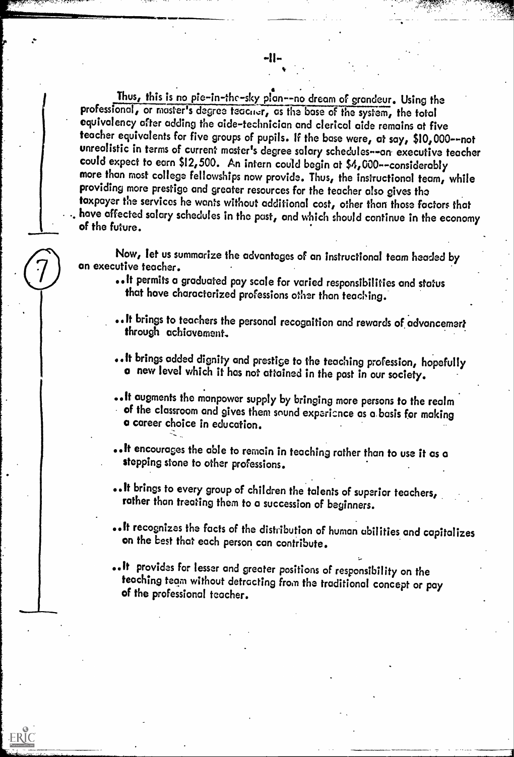Thus, this is no pie-in-the-sky plan--no dream of grandeur. Using the professional, or master's degree teacner, as the base of the system, the total equivalency after adding the aide-technician and clerical aide remains at five teacher equivalents for five groups of pupils. If the base were, at say, \$10,000--not unrealistic in terms of current master's degree salary schedules--an executive teacher could expect to earn \$12,500. An intern could begin at \$4,000--considerably more than most college fellowships now provide. Thus, the instructional team, while providing more prestige and greater resources for the teacher also gives the taxpayer the services he wants without additional cost, other than those factors that have affected salary schedules in the past, and which should continue in the economy<br>of the future.

Now, let us summarize the advantages of an instructional team headed by an executive teacher.

- .. It permits a graduated pay scale for varied responsibilities and status that have characterized professions other than teaching.
- . It brings to teachers the personal recognition and rewards of advancement<br>through achiavement.
- .lt brings added dignity and prestige to the teaching profession, hopefully a new level which it has not attained in the past in our society.
- ..It augments the manpower supply by bringing more persons to the realm of the classroom and gives them sound experience as a basis for making a career choice in education.
- ..It encourages the able to remain in teaching rather than to use it as a stepping stone to other professions.
- ..It brings to every group of children the talents of superior teachers, rather than treating them to a succession of beginners.
- recognizes the facts of the distribution of human abilities and capitalizes on the best that each person can contribute.
- ..It provides for lesser and greater positions of responsibility on the teaching team without detracting from the traditional concept or pay of the professional teacher.

 $\boxed{\prod\limits_{\substack{\mathcal{F}\text{full fact from } \mathcal{F} \text{prod} \\ \mathcal{F} \text{full fact from } \mathcal{F} \text{prod} \text{ odd}}}$ 

 $\delta$ ,  $\delta$ ,  $\delta$ ,  $\delta$ ,  $\delta$ ,  $\delta$ ,  $\delta$ ,  $\delta$ ,  $\delta$ 

111111lIt 011111119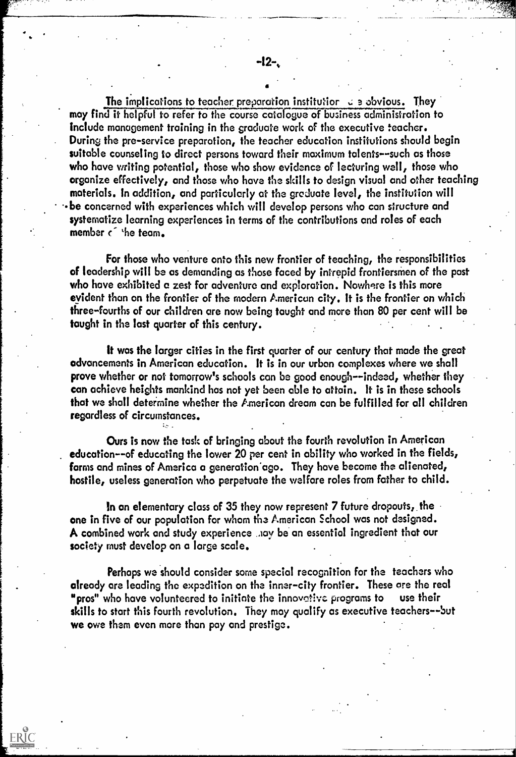The implications to teacher preparation institutior  $\epsilon$  a obvious. They may find it helpful to refer to the course catalogue of business administration to Include management training in the graduate work of the executive teacher. During the pre-service preparation, the teacher education institutions should begin suitable counseling to direct persons toward their maximum talents--such as those who have writing potential, those who show evidence of lecturing well, those who organize effectively, and those who have the skills to design visual and other teaching materials. In addition, and particularly at the greduate level, the institution will be concerned with experiences which will develop persons who can structure and systematize learning experiences in terms of the contributions and roles of each member c<sup>4</sup> the team.

For those who venture onto this new frontier of teaching, the responsibilities of leadership will be as demanding as those faced by intrepid frontiersmen of the past who have exhibited a zest for adventure and exploration. Nowhere is this more evident than on the frontier of the modern American city. It is the frontier on which three-fourths of our children are now being taught and more than 80 per cent will be taught in the last quarter of this century.

It was the larger cities in the first quarter of our century that made the great advancements in American education. It is in our urban complexes where we shall prove whether or not tomorrow's schools can be good enough--indeed, whether they can achieve heights mankind has not yet been able to attain. It is in these schools that we shall determine whether the American dream can be fulfilled for all children regardless of circumstances.

Ours is now the task of bringing about the fourth revolution in American education--of educating the lower 20 per cent in ability who worked in the fields, farms and mines of America a generation ago. They have become the alienated, hostile, useless generation who perpetuate the welfare roles from father to child.

In an elementary class of 35 they now represent 7 future dropouts, the one in five of our population for whom the American School was not designed. A combined work and study experience hay be an essential ingredient that our society must develop on a large scale.

Perhaps we should consider some special recognition for the teachers who already are leading the expedition on the inner-city frontier. These are the real "pros" who have volunteered to initiate the innovative programs to use their skills to start this fourth revolution. They may qualify as executive teachers--but we owe them even more than pay and prestige.

''4,`,','';'.., ..".....,..

4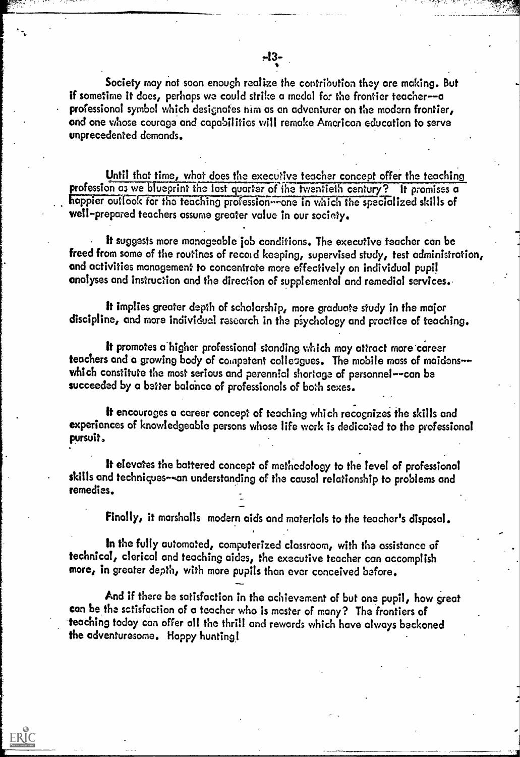-13-

Until that time, what does the executive teacher concept offer the teaching profession as we blueprint the last quarter of the twentieth century? It promises a happier outlook for the teaching profession--one in which the specialized skills of well-prepared teachers assume greater value in our society.

It suggests more manageable job conditions. The executive teacher can be freed from some of the routines of record keeping, supervised study, test administration, and activities management to concentrate more effectively on individual pupil analyses and instruction and the direction of supplemental and remedial services.

It implies greater depth of scholarship, more graduate study in the major discipline, and more individual research in the psychology and practice of teaching.

It promotes a higher professional standing which may attract more career teachers and a growing body of competent colleagues. The mobile mass of maidens-which constitute the most serious and perennial shortage of personnel--can be succeeded by a better balance of professionals of both sexes.

It encourages a career concept of teaching which recognizes the skills and experiences of knowledgeable persons whose life work is dedicated to the professional pursuit.

It elevates the battered concept of methodology to the level of professional skills and techniques-4n understanding of the causal relationship to problems and remedies.

Finally, it marshalls modern aids and materials to the teacher's disposal.

In the fully automated, computerized classroom, with the assistance of technical, clerical and teaching aides, the executive teacher can accomplish more, in greater depth, with more pupils than ever conceived before.

And if there be satisfaction in the achievement of but one pupil, how great can be the sctisfaction of a teacher who is master of many? The frontiers of -teaching today con offer all the thrill and rewords which hove always beckoned the adventuresome. Happy hunting!